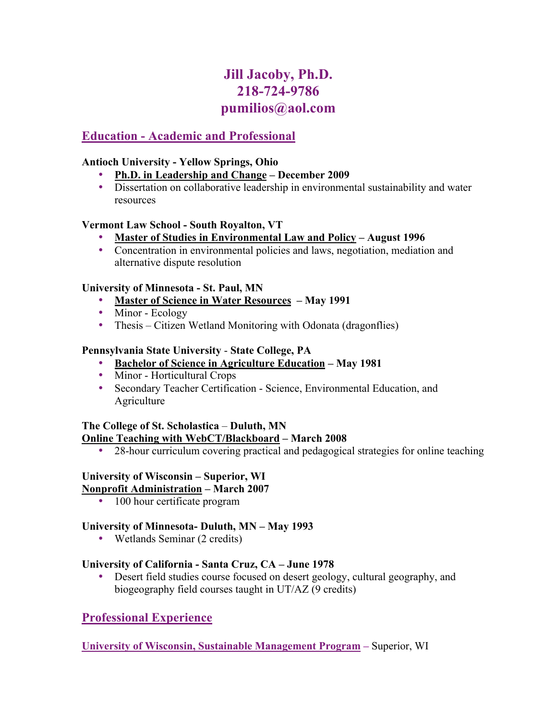# **Jill Jacoby, Ph.D. 218-724-9786 pumilios@aol.com**

## **Education - Academic and Professional**

#### **Antioch University - Yellow Springs, Ohio**

- **Ph.D. in Leadership and Change December 2009**
- Dissertation on collaborative leadership in environmental sustainability and water resources

#### **Vermont Law School - South Royalton, VT**

- **Master of Studies in Environmental Law and Policy August 1996**
- Concentration in environmental policies and laws, negotiation, mediation and alternative dispute resolution

#### **University of Minnesota - St. Paul, MN**

- **Master of Science in Water Resources – May 1991**
- Minor Ecology
- Thesis Citizen Wetland Monitoring with Odonata (dragonflies)

#### **Pennsylvania State University** - **State College, PA**

- **Bachelor of Science in Agriculture Education May 1981**
- Minor Horticultural Crops
- Secondary Teacher Certification Science, Environmental Education, and **Agriculture**

#### **The College of St. Scholastica** – **Duluth, MN Online Teaching with WebCT/Blackboard – March 2008**

• 28-hour curriculum covering practical and pedagogical strategies for online teaching

#### **University of Wisconsin – Superior, WI**

#### **Nonprofit Administration – March 2007**

• 100 hour certificate program

#### **University of Minnesota- Duluth, MN – May 1993**

• Wetlands Seminar (2 credits)

#### **University of California - Santa Cruz, CA – June 1978**

• Desert field studies course focused on desert geology, cultural geography, and biogeography field courses taught in UT/AZ (9 credits)

## **Professional Experience**

#### **University of Wisconsin, Sustainable Management Program –** Superior, WI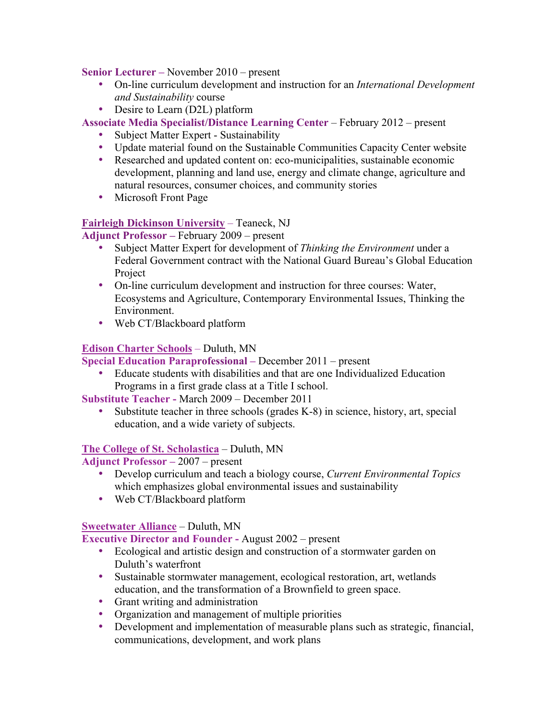#### **Senior Lecturer –** November 2010 – present

- On-line curriculum development and instruction for an *International Development and Sustainability* course
- Desire to Learn (D2L) platform

**Associate Media Specialist/Distance Learning Center** – February 2012 – present

- Subject Matter Expert Sustainability
- Update material found on the Sustainable Communities Capacity Center website
- Researched and updated content on: eco-municipalities, sustainable economic development, planning and land use, energy and climate change, agriculture and natural resources, consumer choices, and community stories
- Microsoft Front Page

#### **Fairleigh Dickinson University** – Teaneck, NJ

**Adjunct Professor –** February 2009 – present

- Subject Matter Expert for development of *Thinking the Environment* under a Federal Government contract with the National Guard Bureau's Global Education Project
- On-line curriculum development and instruction for three courses: Water, Ecosystems and Agriculture, Contemporary Environmental Issues, Thinking the Environment.
- Web CT/Blackboard platform

#### **Edison Charter Schools** – Duluth, MN

**Special Education Paraprofessional –** December 2011 – present

• Educate students with disabilities and that are one Individualized Education Programs in a first grade class at a Title I school.

**Substitute Teacher -** March 2009 – December 2011

• Substitute teacher in three schools (grades K-8) in science, history, art, special education, and a wide variety of subjects.

#### **The College of St. Scholastica** – Duluth, MN

**Adjunct Professor –** 2007 – present

- Develop curriculum and teach a biology course, *Current Environmental Topics*  which emphasizes global environmental issues and sustainability
- Web CT/Blackboard platform

#### **Sweetwater Alliance** – Duluth, MN

**Executive Director and Founder -** August 2002 – present

- Ecological and artistic design and construction of a stormwater garden on Duluth's waterfront
- Sustainable stormwater management, ecological restoration, art, wetlands education, and the transformation of a Brownfield to green space.
- Grant writing and administration
- Organization and management of multiple priorities
- Development and implementation of measurable plans such as strategic, financial, communications, development, and work plans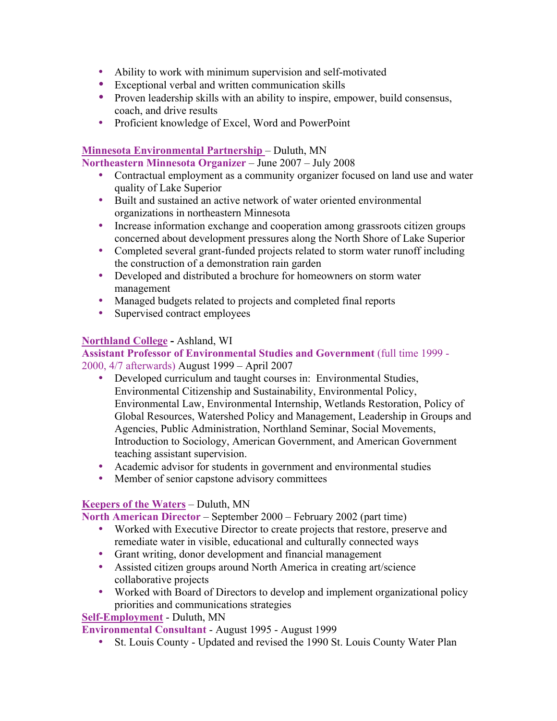- Ability to work with minimum supervision and self-motivated
- Exceptional verbal and written communication skills
- Proven leadership skills with an ability to inspire, empower, build consensus, coach, and drive results
- Proficient knowledge of Excel, Word and PowerPoint

#### **Minnesota Environmental Partnership** – Duluth, MN

**Northeastern Minnesota Organizer** – June 2007 – July 2008

- Contractual employment as a community organizer focused on land use and water quality of Lake Superior
- Built and sustained an active network of water oriented environmental organizations in northeastern Minnesota
- Increase information exchange and cooperation among grassroots citizen groups concerned about development pressures along the North Shore of Lake Superior
- Completed several grant-funded projects related to storm water runoff including the construction of a demonstration rain garden
- Developed and distributed a brochure for homeowners on storm water management
- Managed budgets related to projects and completed final reports
- Supervised contract employees

#### **Northland College -** Ashland, WI

#### **Assistant Professor of Environmental Studies and Government** (full time 1999 - 2000, 4/7 afterwards) August 1999 – April 2007

- Developed curriculum and taught courses in: Environmental Studies, Environmental Citizenship and Sustainability, Environmental Policy, Environmental Law, Environmental Internship, Wetlands Restoration, Policy of Global Resources, Watershed Policy and Management, Leadership in Groups and Agencies, Public Administration, Northland Seminar, Social Movements, Introduction to Sociology, American Government, and American Government teaching assistant supervision.
- Academic advisor for students in government and environmental studies
- Member of senior capstone advisory committees

#### **Keepers of the Waters** – Duluth, MN

**North American Director** – September 2000 – February 2002 (part time)

- Worked with Executive Director to create projects that restore, preserve and remediate water in visible, educational and culturally connected ways
- Grant writing, donor development and financial management
- Assisted citizen groups around North America in creating art/science collaborative projects
- Worked with Board of Directors to develop and implement organizational policy priorities and communications strategies

#### **Self-Employment** - Duluth, MN

**Environmental Consultant** - August 1995 - August 1999

• St. Louis County - Updated and revised the 1990 St. Louis County Water Plan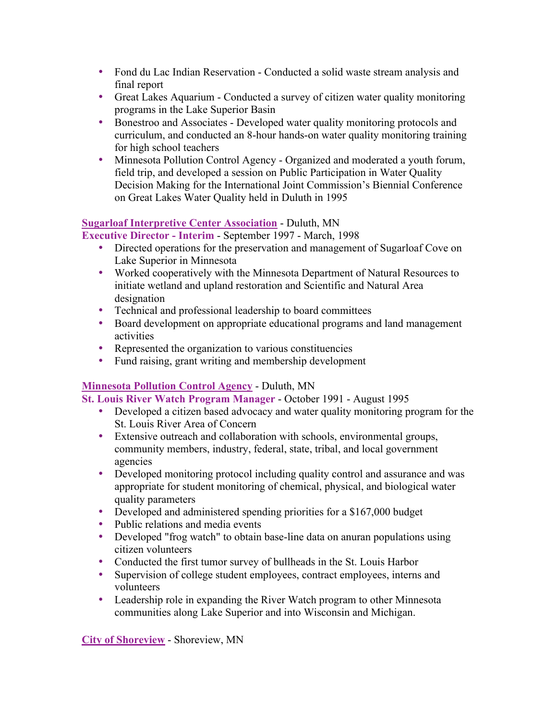- Fond du Lac Indian Reservation Conducted a solid waste stream analysis and final report
- Great Lakes Aquarium Conducted a survey of citizen water quality monitoring programs in the Lake Superior Basin
- Bonestroo and Associates Developed water quality monitoring protocols and curriculum, and conducted an 8-hour hands-on water quality monitoring training for high school teachers
- Minnesota Pollution Control Agency Organized and moderated a youth forum, field trip, and developed a session on Public Participation in Water Quality Decision Making for the International Joint Commission's Biennial Conference on Great Lakes Water Quality held in Duluth in 1995

#### **Sugarloaf Interpretive Center Association** - Duluth, MN

**Executive Director - Interim** - September 1997 - March, 1998

- Directed operations for the preservation and management of Sugarloaf Cove on Lake Superior in Minnesota
- Worked cooperatively with the Minnesota Department of Natural Resources to initiate wetland and upland restoration and Scientific and Natural Area designation
- Technical and professional leadership to board committees
- Board development on appropriate educational programs and land management activities
- Represented the organization to various constituencies
- Fund raising, grant writing and membership development

### **Minnesota Pollution Control Agency** - Duluth, MN

**St. Louis River Watch Program Manager** - October 1991 - August 1995

- Developed a citizen based advocacy and water quality monitoring program for the St. Louis River Area of Concern
- Extensive outreach and collaboration with schools, environmental groups, community members, industry, federal, state, tribal, and local government agencies
- Developed monitoring protocol including quality control and assurance and was appropriate for student monitoring of chemical, physical, and biological water quality parameters
- Developed and administered spending priorities for a \$167,000 budget
- Public relations and media events
- Developed "frog watch" to obtain base-line data on anuran populations using citizen volunteers
- Conducted the first tumor survey of bullheads in the St. Louis Harbor
- Supervision of college student employees, contract employees, interns and volunteers
- Leadership role in expanding the River Watch program to other Minnesota communities along Lake Superior and into Wisconsin and Michigan.

**City of Shoreview** - Shoreview, MN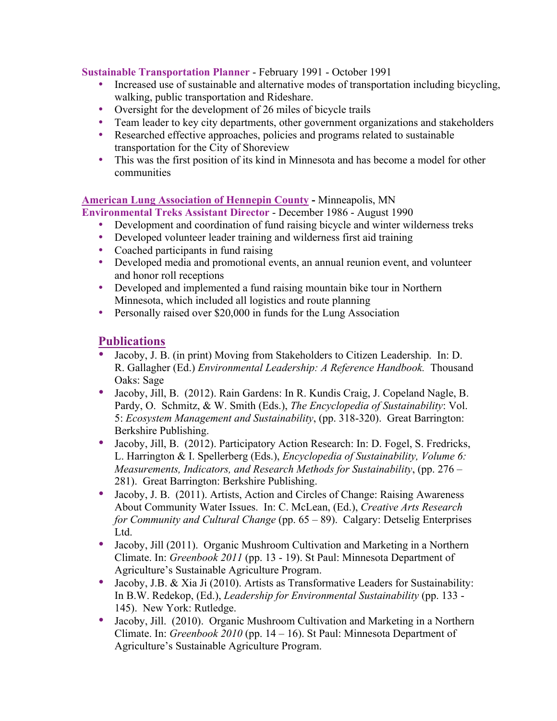#### **Sustainable Transportation Planner** - February 1991 - October 1991

- Increased use of sustainable and alternative modes of transportation including bicycling, walking, public transportation and Rideshare.
- Oversight for the development of 26 miles of bicycle trails
- Team leader to key city departments, other government organizations and stakeholders
- Researched effective approaches, policies and programs related to sustainable transportation for the City of Shoreview
- This was the first position of its kind in Minnesota and has become a model for other communities

# **American Lung Association of Hennepin County -** Minneapolis, MN

**Environmental Treks Assistant Director** - December 1986 - August 1990

- Development and coordination of fund raising bicycle and winter wilderness treks
- Developed volunteer leader training and wilderness first aid training
- Coached participants in fund raising
- Developed media and promotional events, an annual reunion event, and volunteer and honor roll receptions
- Developed and implemented a fund raising mountain bike tour in Northern Minnesota, which included all logistics and route planning
- Personally raised over \$20,000 in funds for the Lung Association

### **Publications**

- Jacoby, J. B. (in print) Moving from Stakeholders to Citizen Leadership. In: D. R. Gallagher (Ed.) *Environmental Leadership: A Reference Handbook.* Thousand Oaks: Sage
- Jacoby, Jill, B. (2012). Rain Gardens: In R. Kundis Craig, J. Copeland Nagle, B. Pardy, O. Schmitz, & W. Smith (Eds.), *The Encyclopedia of Sustainability*: Vol. 5: *Ecosystem Management and Sustainability*, (pp. 318-320). Great Barrington: Berkshire Publishing.
- Jacoby, Jill, B. (2012). Participatory Action Research: In: D. Fogel, S. Fredricks, L. Harrington & I. Spellerberg (Eds.), *Encyclopedia of Sustainability, Volume 6: Measurements, Indicators, and Research Methods for Sustainability*, (pp. 276 – 281). Great Barrington: Berkshire Publishing.
- Jacoby, J. B. (2011). Artists, Action and Circles of Change: Raising Awareness About Community Water Issues. In: C. McLean, (Ed.), *Creative Arts Research for Community and Cultural Change* (pp. 65 – 89). Calgary: Detselig Enterprises Ltd.
- Jacoby, Jill (2011). Organic Mushroom Cultivation and Marketing in a Northern Climate. In: *Greenbook 2011* (pp. 13 - 19). St Paul: Minnesota Department of Agriculture's Sustainable Agriculture Program.
- Jacoby, J.B. & Xia Ji (2010). Artists as Transformative Leaders for Sustainability: In B.W. Redekop, (Ed.), *Leadership for Environmental Sustainability* (pp. 133 - 145). New York: Rutledge.
- Jacoby, Jill. (2010). Organic Mushroom Cultivation and Marketing in a Northern Climate. In: *Greenbook 2010* (pp. 14 – 16). St Paul: Minnesota Department of Agriculture's Sustainable Agriculture Program.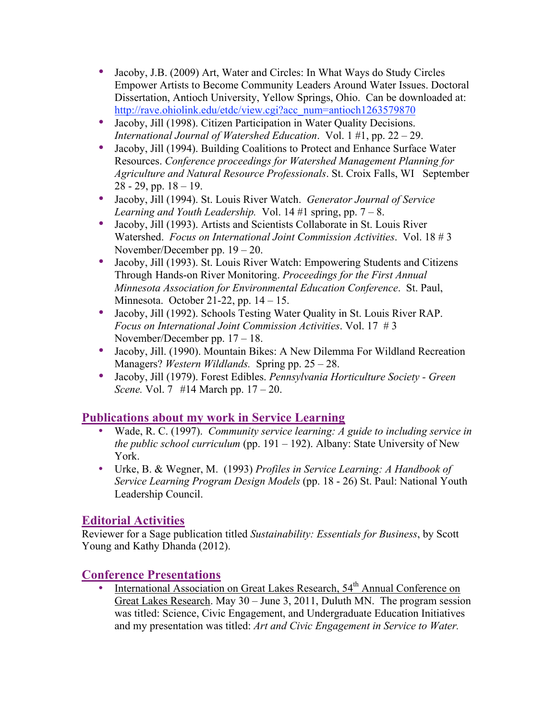- Jacoby, J.B. (2009) Art, Water and Circles: In What Ways do Study Circles Empower Artists to Become Community Leaders Around Water Issues. Doctoral Dissertation, Antioch University, Yellow Springs, Ohio. Can be downloaded at: http://rave.ohiolink.edu/etdc/view.cgi?acc\_num=antioch1263579870
- Jacoby, Jill (1998). Citizen Participation in Water Quality Decisions. *International Journal of Watershed Education*. Vol. 1 #1, pp. 22 – 29.
- Jacoby, Jill (1994). Building Coalitions to Protect and Enhance Surface Water Resources. *Conference proceedings for Watershed Management Planning for Agriculture and Natural Resource Professionals*. St. Croix Falls, WI September  $28 - 29$ , pp.  $18 - 19$ .
- Jacoby, Jill (1994). St. Louis River Watch. *Generator Journal of Service Learning and Youth Leadership.* Vol.  $14 \#1$  spring, pp.  $7 - 8$ .
- Jacoby, Jill (1993). Artists and Scientists Collaborate in St. Louis River Watershed. *Focus on International Joint Commission Activities*. Vol. 18 # 3 November/December pp. 19 – 20.
- Jacoby, Jill (1993). St. Louis River Watch: Empowering Students and Citizens Through Hands-on River Monitoring. *Proceedings for the First Annual Minnesota Association for Environmental Education Conference*. St. Paul, Minnesota. October 21-22, pp. 14 – 15.
- Jacoby, Jill (1992). Schools Testing Water Quality in St. Louis River RAP. *Focus on International Joint Commission Activities*. Vol. 17 # 3 November/December pp. 17 – 18.
- Jacoby, Jill. (1990). Mountain Bikes: A New Dilemma For Wildland Recreation Managers? *Western Wildlands.* Spring pp. 25 – 28.
- Jacoby, Jill (1979). Forest Edibles. *Pennsylvania Horticulture Society Green Scene.* Vol. 7 #14 March pp. 17 – 20.

## **Publications about my work in Service Learning**

- Wade, R. C. (1997). *Community service learning: A guide to including service in the public school curriculum* (pp. 191 – 192). Albany: State University of New York.
- Urke, B. & Wegner, M. (1993) *Profiles in Service Learning: A Handbook of Service Learning Program Design Models* (pp. 18 - 26) St. Paul: National Youth Leadership Council.

# **Editorial Activities**

Reviewer for a Sage publication titled *Sustainability: Essentials for Business*, by Scott Young and Kathy Dhanda (2012).

# **Conference Presentations**

• International Association on Great Lakes Research, 54<sup>th</sup> Annual Conference on Great Lakes Research. May 30 – June 3, 2011, Duluth MN. The program session was titled: Science, Civic Engagement, and Undergraduate Education Initiatives and my presentation was titled: *Art and Civic Engagement in Service to Water.*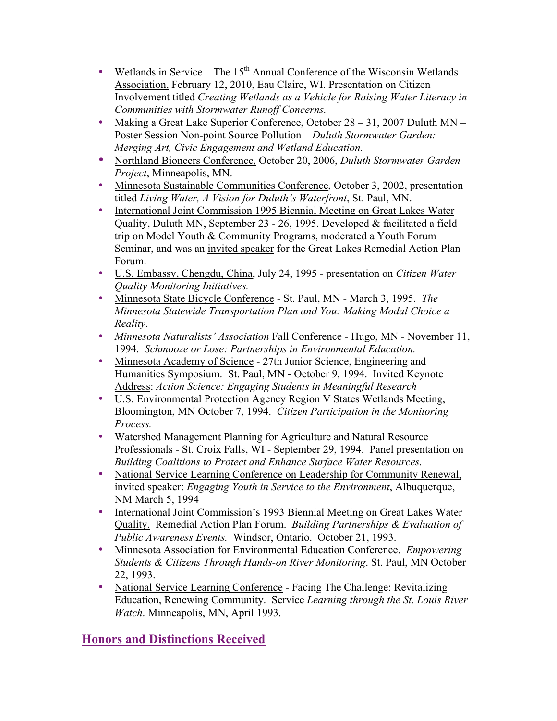- Wetlands in Service The 15<sup>th</sup> Annual Conference of the Wisconsin Wetlands Association, February 12, 2010, Eau Claire, WI. Presentation on Citizen Involvement titled *Creating Wetlands as a Vehicle for Raising Water Literacy in Communities with Stormwater Runoff Concerns.*
- Making a Great Lake Superior Conference, October 28 31, 2007 Duluth MN Poster Session Non-point Source Pollution – *Duluth Stormwater Garden: Merging Art, Civic Engagement and Wetland Education.*
- Northland Bioneers Conference, October 20, 2006, *Duluth Stormwater Garden Project*, Minneapolis, MN.
- Minnesota Sustainable Communities Conference, October 3, 2002, presentation titled *Living Water, A Vision for Duluth's Waterfront*, St. Paul, MN.
- International Joint Commission 1995 Biennial Meeting on Great Lakes Water Quality, Duluth MN, September 23 - 26, 1995. Developed & facilitated a field trip on Model Youth & Community Programs, moderated a Youth Forum Seminar, and was an invited speaker for the Great Lakes Remedial Action Plan Forum.
- U.S. Embassy, Chengdu, China, July 24, 1995 presentation on *Citizen Water Quality Monitoring Initiatives.*
- Minnesota State Bicycle Conference St. Paul, MN March 3, 1995. *The Minnesota Statewide Transportation Plan and You: Making Modal Choice a Reality*.
- *Minnesota Naturalists' Association* Fall Conference Hugo, MN November 11, 1994. *Schmooze or Lose: Partnerships in Environmental Education.*
- Minnesota Academy of Science 27th Junior Science, Engineering and Humanities Symposium. St. Paul, MN - October 9, 1994. Invited Keynote Address: *Action Science: Engaging Students in Meaningful Research*
- U.S. Environmental Protection Agency Region V States Wetlands Meeting, Bloomington, MN October 7, 1994. *Citizen Participation in the Monitoring Process.*
- Watershed Management Planning for Agriculture and Natural Resource Professionals - St. Croix Falls, WI - September 29, 1994. Panel presentation on *Building Coalitions to Protect and Enhance Surface Water Resources.*
- National Service Learning Conference on Leadership for Community Renewal, invited speaker: *Engaging Youth in Service to the Environment*, Albuquerque, NM March 5, 1994
- International Joint Commission's 1993 Biennial Meeting on Great Lakes Water Quality. Remedial Action Plan Forum. *Building Partnerships & Evaluation of Public Awareness Events.* Windsor, Ontario. October 21, 1993.
- Minnesota Association for Environmental Education Conference. *Empowering Students & Citizens Through Hands-on River Monitoring*. St. Paul, MN October 22, 1993.
- National Service Learning Conference Facing The Challenge: Revitalizing Education, Renewing Community. Service *Learning through the St. Louis River Watch*. Minneapolis, MN, April 1993.

# **Honors and Distinctions Received**